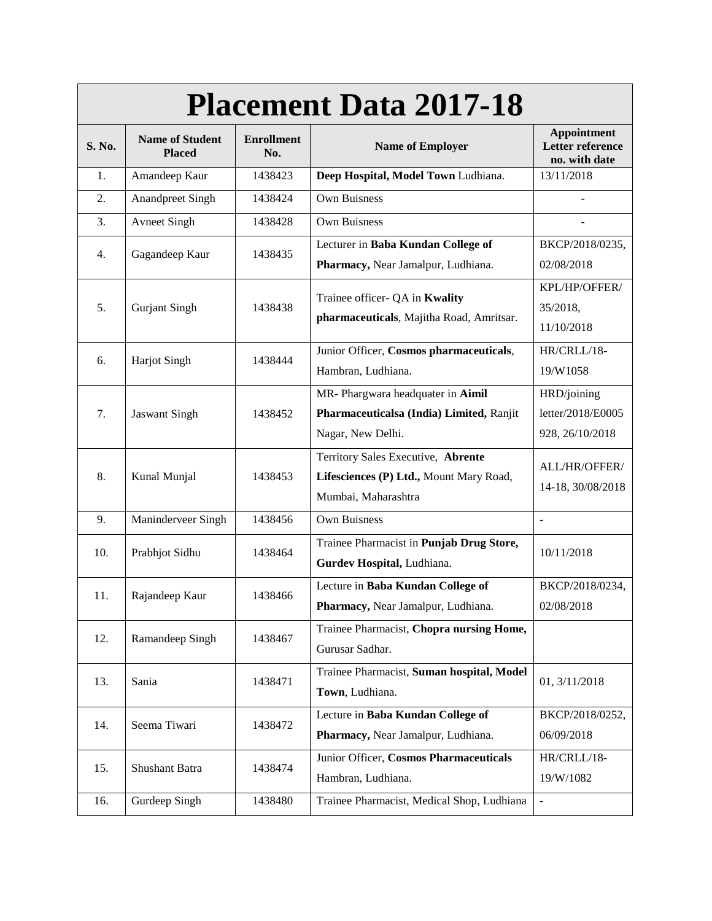| <b>Placement Data 2017-18</b> |                                         |                          |                                                                                                      |                                                         |  |  |
|-------------------------------|-----------------------------------------|--------------------------|------------------------------------------------------------------------------------------------------|---------------------------------------------------------|--|--|
| S. No.                        | <b>Name of Student</b><br><b>Placed</b> | <b>Enrollment</b><br>No. | <b>Name of Employer</b>                                                                              | Appointment<br><b>Letter reference</b><br>no. with date |  |  |
| 1.                            | Amandeep Kaur                           | 1438423                  | Deep Hospital, Model Town Ludhiana.                                                                  | 13/11/2018                                              |  |  |
| 2.                            | <b>Anandpreet Singh</b>                 | 1438424                  | Own Buisness                                                                                         |                                                         |  |  |
| 3.                            | <b>Avneet Singh</b>                     | 1438428                  | <b>Own Buisness</b>                                                                                  |                                                         |  |  |
| 4.                            | Gagandeep Kaur                          | 1438435                  | Lecturer in Baba Kundan College of<br>Pharmacy, Near Jamalpur, Ludhiana.                             | BKCP/2018/0235,<br>02/08/2018                           |  |  |
| 5.                            | <b>Gurjant Singh</b>                    | 1438438                  | Trainee officer- QA in Kwality<br>pharmaceuticals, Majitha Road, Amritsar.                           | KPL/HP/OFFER/<br>35/2018,<br>11/10/2018                 |  |  |
| 6.                            | <b>Harjot Singh</b>                     | 1438444                  | Junior Officer, Cosmos pharmaceuticals,<br>Hambran, Ludhiana.                                        | HR/CRLL/18-<br>19/W1058                                 |  |  |
| 7.                            | <b>Jaswant Singh</b>                    | 1438452                  | MR- Phargwara headquater in Aimil<br>Pharmaceuticalsa (India) Limited, Ranjit<br>Nagar, New Delhi.   | HRD/joining<br>letter/2018/E0005<br>928, 26/10/2018     |  |  |
| 8.                            | Kunal Munjal                            | 1438453                  | Territory Sales Executive, Abrente<br>Lifesciences (P) Ltd., Mount Mary Road,<br>Mumbai, Maharashtra | ALL/HR/OFFER/<br>14-18, 30/08/2018                      |  |  |
| 9.                            | Maninderveer Singh                      | 1438456                  | Own Buisness                                                                                         | $\overline{a}$                                          |  |  |
| 10.                           | Prabhjot Sidhu                          | 1438464                  | Trainee Pharmacist in Punjab Drug Store,<br>Gurdev Hospital, Ludhiana.                               | 10/11/2018                                              |  |  |
| 11.                           | Rajandeep Kaur                          | 1438466                  | Lecture in Baba Kundan College of<br>Pharmacy, Near Jamalpur, Ludhiana.                              | BKCP/2018/0234,<br>02/08/2018                           |  |  |
| 12.                           | Ramandeep Singh                         | 1438467                  | Trainee Pharmacist, Chopra nursing Home,<br>Gurusar Sadhar.                                          |                                                         |  |  |
| 13.                           | Sania                                   | 1438471                  | Trainee Pharmacist, Suman hospital, Model<br>Town, Ludhiana.                                         | 01, 3/11/2018                                           |  |  |
| 14.                           | Seema Tiwari                            | 1438472                  | Lecture in Baba Kundan College of<br>Pharmacy, Near Jamalpur, Ludhiana.                              | BKCP/2018/0252,<br>06/09/2018                           |  |  |
| 15.                           | Shushant Batra                          | 1438474                  | Junior Officer, Cosmos Pharmaceuticals<br>Hambran, Ludhiana.                                         | HR/CRLL/18-<br>19/W/1082                                |  |  |
| 16.                           | Gurdeep Singh                           | 1438480                  | Trainee Pharmacist, Medical Shop, Ludhiana                                                           | $\overline{a}$                                          |  |  |